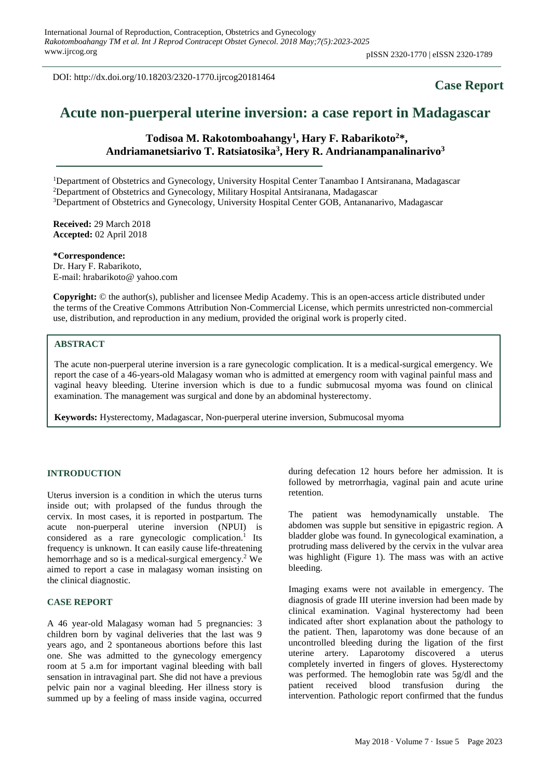DOI: http://dx.doi.org/10.18203/2320-1770.ijrcog20181464

# **Case Report**

# **Acute non-puerperal uterine inversion: a case report in Madagascar**

**Todisoa M. Rakotomboahangy<sup>1</sup> , Hary F. Rabarikoto<sup>2</sup>\*, Andriamanetsiarivo T. Ratsiatosika<sup>3</sup> , Hery R. Andrianampanalinarivo<sup>3</sup>**

<sup>1</sup>Department of Obstetrics and Gynecology, University Hospital Center Tanambao I Antsiranana, Madagascar <sup>2</sup>Department of Obstetrics and Gynecology, Military Hospital Antsiranana, Madagascar <sup>3</sup>Department of Obstetrics and Gynecology, University Hospital Center GOB, Antananarivo, Madagascar

**Received:** 29 March 2018 **Accepted:** 02 April 2018

**\*Correspondence:** Dr. Hary F. Rabarikoto, E-mail: hrabarikoto@ yahoo.com

**Copyright:** © the author(s), publisher and licensee Medip Academy. This is an open-access article distributed under the terms of the Creative Commons Attribution Non-Commercial License, which permits unrestricted non-commercial use, distribution, and reproduction in any medium, provided the original work is properly cited.

## **ABSTRACT**

The acute non-puerperal uterine inversion is a rare gynecologic complication. It is a medical-surgical emergency. We report the case of a 46-years-old Malagasy woman who is admitted at emergency room with vaginal painful mass and vaginal heavy bleeding. Uterine inversion which is due to a fundic submucosal myoma was found on clinical examination. The management was surgical and done by an abdominal hysterectomy.

**Keywords:** Hysterectomy, Madagascar, Non-puerperal uterine inversion, Submucosal myoma

#### **INTRODUCTION**

Uterus inversion is a condition in which the uterus turns inside out; with prolapsed of the fundus through the cervix. In most cases, it is reported in postpartum. The acute non-puerperal uterine inversion (NPUI) is considered as a rare gynecologic complication.<sup>1</sup> Its frequency is unknown. It can easily cause life-threatening hemorrhage and so is a medical-surgical emergency.<sup>2</sup> We aimed to report a case in malagasy woman insisting on the clinical diagnostic.

#### **CASE REPORT**

A 46 year-old Malagasy woman had 5 pregnancies: 3 children born by vaginal deliveries that the last was 9 years ago, and 2 spontaneous abortions before this last one. She was admitted to the gynecology emergency room at 5 a.m for important vaginal bleeding with ball sensation in intravaginal part. She did not have a previous pelvic pain nor a vaginal bleeding. Her illness story is summed up by a feeling of mass inside vagina, occurred during defecation 12 hours before her admission. It is followed by metrorrhagia, vaginal pain and acute urine retention.

The patient was hemodynamically unstable. The abdomen was supple but sensitive in epigastric region. A bladder globe was found. In gynecological examination, a protruding mass delivered by the cervix in the vulvar area was highlight (Figure 1). The mass was with an active bleeding.

Imaging exams were not available in emergency. The diagnosis of grade III uterine inversion had been made by clinical examination. Vaginal hysterectomy had been indicated after short explanation about the pathology to the patient. Then, laparotomy was done because of an uncontrolled bleeding during the ligation of the first uterine artery. Laparotomy discovered a uterus completely inverted in fingers of gloves. Hysterectomy was performed. The hemoglobin rate was 5g/dl and the patient received blood transfusion during the intervention. Pathologic report confirmed that the fundus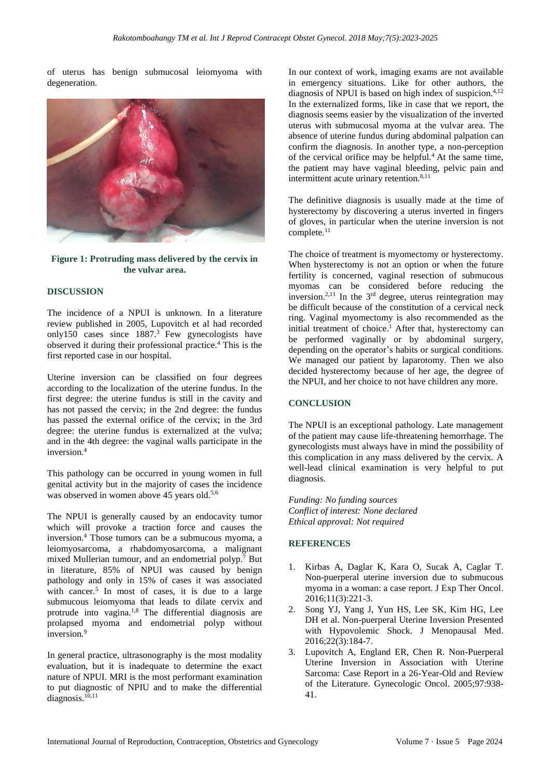of uterus has benign submucosal leiomyoma with degeneration.



#### **Figure 1: Protruding mass delivered by the cervix in the vulvar area.**

#### **DISCUSSION**

The incidence of a NPUI is unknown. In a literature review published in 2005, Lupovitch et al had recorded only150 cases since  $1887<sup>3</sup>$  Few gynecologists have observed it during their professional practice.<sup>4</sup> This is the first reported case in our hospital.

Uterine inversion can be classified on four degrees according to the localization of the uterine fundus. In the first degree: the uterine fundus is still in the cavity and has not passed the cervix; in the 2nd degree: the fundus has passed the external orifice of the cervix; in the 3rd degree: the uterine fundus is externalized at the vulva; and in the 4th degree: the vaginal walls participate in the inversion.<sup>4</sup>

This pathology can be occurred in young women in full genital activity but in the majority of cases the incidence was observed in women above 45 years old.<sup>5,6</sup>

The NPUI is generally caused by an endocavity tumor which will provoke a traction force and causes the inversion.<sup>4</sup> Those tumors can be a submucous myoma, a leiomyosarcoma, a rhabdomyosarcoma, a malignant mixed Mullerian tumour, and an endometrial polyp.<sup>7</sup> But in literature, 85% of NPUI was caused by benign pathology and only in 15% of cases it was associated with cancer.<sup>5</sup> In most of cases, it is due to a large submucous leiomyoma that leads to dilate cervix and protrude into vagina.1,8 The differential diagnosis are prolapsed myoma and endometrial polyp without inversion.<sup>9</sup>

In general practice, ultrasonography is the most modality evaluation, but it is inadequate to determine the exact nature of NPUI. MRI is the most performant examination to put diagnostic of NPIU and to make the differential diagnosis.<sup>10,11</sup>

In our context of work, imaging exams are not available in emergency situations. Like for other authors, the diagnosis of NPUI is based on high index of suspicion.<sup>4,12</sup> In the externalized forms, like in case that we report, the diagnosis seems easier by the visualization of the inverted uterus with submucosal myoma at the vulvar area. The absence of uterine fundus during abdominal palpation can confirm the diagnosis. In another type, a non-perception of the cervical orifice may be helpful.<sup>4</sup> At the same time, the patient may have vaginal bleeding, pelvic pain and intermittent acute urinary retention.<sup>8,11</sup>

The definitive diagnosis is usually made at the time of hysterectomy by discovering a uterus inverted in fingers of gloves, in particular when the uterine inversion is not complete.<sup>11</sup>

The choice of treatment is myomectomy or hysterectomy. When hysterectomy is not an option or when the future fertility is concerned, vaginal resection of submucous myomas can be considered before reducing the inversion.<sup>2,11</sup> In the  $3<sup>rd</sup>$  degree, uterus reintegration may be difficult because of the constitution of a cervical neck ring. Vaginal myomectomy is also recommended as the initial treatment of choice.<sup>1</sup> After that, hysterectomy can be performed vaginally or by abdominal surgery, depending on the operator's habits or surgical conditions. We managed our patient by laparotomy. Then we also decided hysterectomy because of her age, the degree of the NPUI, and her choice to not have children any more.

#### **CONCLUSION**

The NPUI is an exceptional pathology. Late management of the patient may cause life-threatening hemorrhage. The gynecologists must always have in mind the possibility of this complication in any mass delivered by the cervix. A well-lead clinical examination is very helpful to put diagnosis.

*Funding: No funding sources Conflict of interest: None declared Ethical approval: Not required*

### **REFERENCES**

- 1. Kirbas A, Daglar K, Kara O, Sucak A, Caglar T. Non-puerperal uterine inversion due to submucous myoma in a woman: a case report. J Exp Ther Oncol. 2016;11(3):221-3.
- 2. Song YJ, Yang J, Yun HS, Lee SK, Kim HG, Lee DH et al. Non-puerperal Uterine Inversion Presented with Hypovolemic Shock. J Menopausal Med. 2016;22(3):184-7.
- 3. Lupovitch A, England ER, Chen R. Non-Puerperal Uterine Inversion in Association with Uterine Sarcoma: Case Report in a 26-Year-Old and Review of the Literature. Gynecologic Oncol. 2005;97:938- 41.